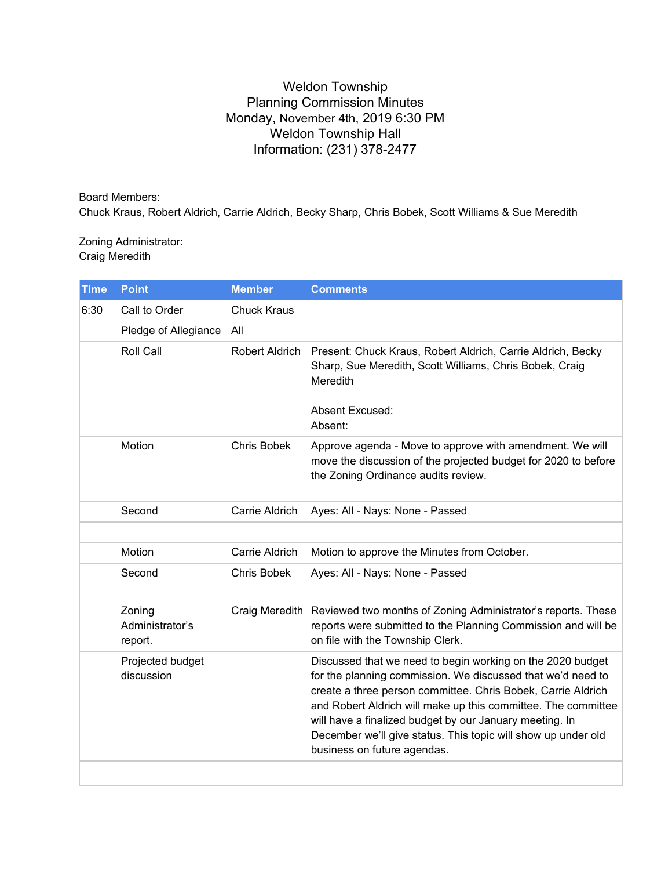## Weldon Township Planning Commission Minutes Monday, November 4th, 2019 6:30 PM Weldon Township Hall Information: (231) 378-2477

Board Members: Chuck Kraus, Robert Aldrich, Carrie Aldrich, Becky Sharp, Chris Bobek, Scott Williams & Sue Meredith

Zoning Administrator: Craig Meredith

| <b>Time</b> | <b>Point</b>                         | <b>Member</b>      | <b>Comments</b>                                                                                                                                                                                                                                                                                                                                                                                                       |
|-------------|--------------------------------------|--------------------|-----------------------------------------------------------------------------------------------------------------------------------------------------------------------------------------------------------------------------------------------------------------------------------------------------------------------------------------------------------------------------------------------------------------------|
| 6:30        | Call to Order                        | <b>Chuck Kraus</b> |                                                                                                                                                                                                                                                                                                                                                                                                                       |
|             | Pledge of Allegiance                 | All                |                                                                                                                                                                                                                                                                                                                                                                                                                       |
|             | Roll Call                            | Robert Aldrich     | Present: Chuck Kraus, Robert Aldrich, Carrie Aldrich, Becky<br>Sharp, Sue Meredith, Scott Williams, Chris Bobek, Craig<br>Meredith<br><b>Absent Excused:</b><br>Absent:                                                                                                                                                                                                                                               |
|             | Motion                               | <b>Chris Bobek</b> | Approve agenda - Move to approve with amendment. We will<br>move the discussion of the projected budget for 2020 to before<br>the Zoning Ordinance audits review.                                                                                                                                                                                                                                                     |
|             | Second                               | Carrie Aldrich     | Ayes: All - Nays: None - Passed                                                                                                                                                                                                                                                                                                                                                                                       |
|             |                                      |                    |                                                                                                                                                                                                                                                                                                                                                                                                                       |
|             | Motion                               | Carrie Aldrich     | Motion to approve the Minutes from October.                                                                                                                                                                                                                                                                                                                                                                           |
|             | Second                               | Chris Bobek        | Ayes: All - Nays: None - Passed                                                                                                                                                                                                                                                                                                                                                                                       |
|             | Zoning<br>Administrator's<br>report. | Craig Meredith     | Reviewed two months of Zoning Administrator's reports. These<br>reports were submitted to the Planning Commission and will be<br>on file with the Township Clerk.                                                                                                                                                                                                                                                     |
|             | Projected budget<br>discussion       |                    | Discussed that we need to begin working on the 2020 budget<br>for the planning commission. We discussed that we'd need to<br>create a three person committee. Chris Bobek, Carrie Aldrich<br>and Robert Aldrich will make up this committee. The committee<br>will have a finalized budget by our January meeting. In<br>December we'll give status. This topic will show up under old<br>business on future agendas. |
|             |                                      |                    |                                                                                                                                                                                                                                                                                                                                                                                                                       |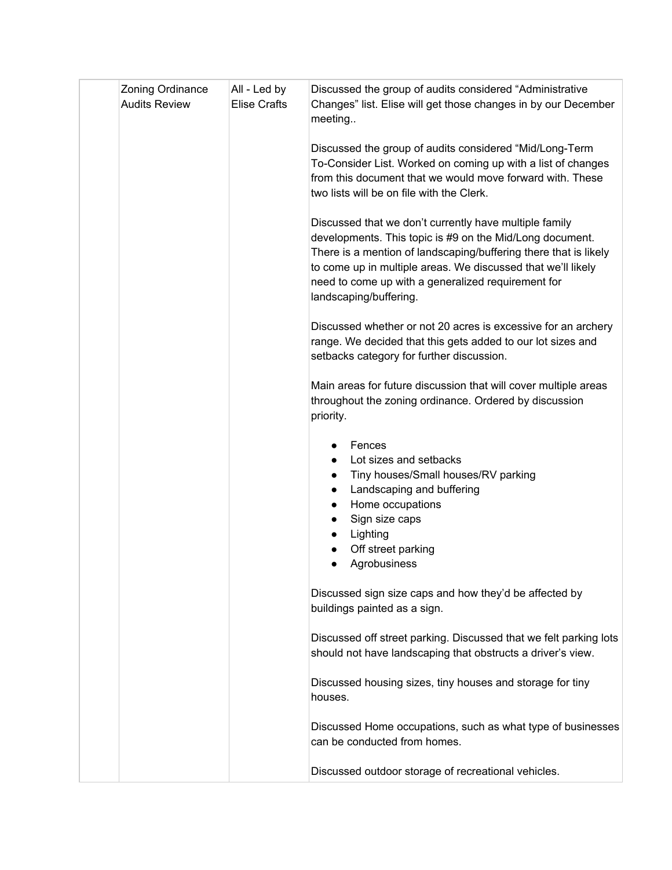| Zoning Ordinance<br><b>Audits Review</b> | All - Led by<br><b>Elise Crafts</b> | Discussed the group of audits considered "Administrative<br>Changes" list. Elise will get those changes in by our December<br>meeting                                                                                                                                                                                                  |
|------------------------------------------|-------------------------------------|----------------------------------------------------------------------------------------------------------------------------------------------------------------------------------------------------------------------------------------------------------------------------------------------------------------------------------------|
|                                          |                                     | Discussed the group of audits considered "Mid/Long-Term<br>To-Consider List. Worked on coming up with a list of changes<br>from this document that we would move forward with. These<br>two lists will be on file with the Clerk.                                                                                                      |
|                                          |                                     | Discussed that we don't currently have multiple family<br>developments. This topic is #9 on the Mid/Long document.<br>There is a mention of landscaping/buffering there that is likely<br>to come up in multiple areas. We discussed that we'll likely<br>need to come up with a generalized requirement for<br>landscaping/buffering. |
|                                          |                                     | Discussed whether or not 20 acres is excessive for an archery<br>range. We decided that this gets added to our lot sizes and<br>setbacks category for further discussion.                                                                                                                                                              |
|                                          |                                     | Main areas for future discussion that will cover multiple areas<br>throughout the zoning ordinance. Ordered by discussion<br>priority.                                                                                                                                                                                                 |
|                                          |                                     | Fences<br>Lot sizes and setbacks<br>Tiny houses/Small houses/RV parking<br>$\bullet$<br>Landscaping and buffering<br>$\bullet$<br>Home occupations<br>$\bullet$<br>Sign size caps<br>Lighting<br>Off street parking<br>Agrobusiness                                                                                                    |
|                                          |                                     | Discussed sign size caps and how they'd be affected by<br>buildings painted as a sign.                                                                                                                                                                                                                                                 |
|                                          |                                     | Discussed off street parking. Discussed that we felt parking lots<br>should not have landscaping that obstructs a driver's view.                                                                                                                                                                                                       |
|                                          |                                     | Discussed housing sizes, tiny houses and storage for tiny<br>houses.                                                                                                                                                                                                                                                                   |
|                                          |                                     | Discussed Home occupations, such as what type of businesses<br>can be conducted from homes.                                                                                                                                                                                                                                            |
|                                          |                                     | Discussed outdoor storage of recreational vehicles.                                                                                                                                                                                                                                                                                    |